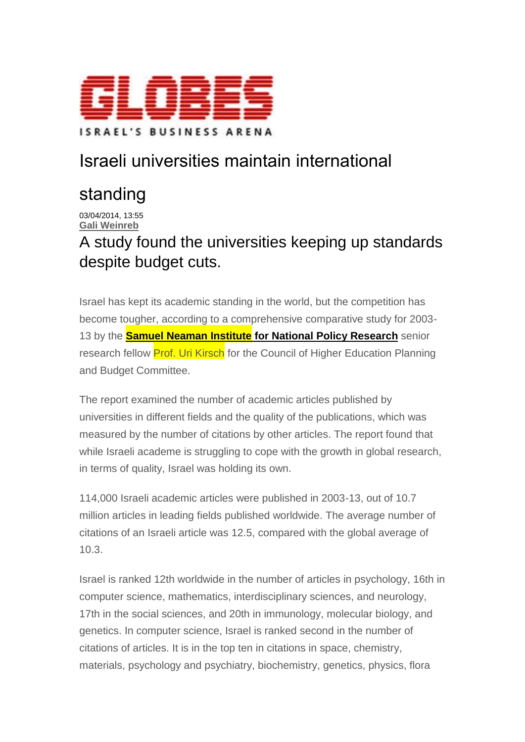

## Israeli universities maintain international

## standing

03/04/2014, 13:55 **Gali [Weinreb](mailto:feedback@globes.co.il?subject=Israeli%20universities%20maintain%20international%20standing)**

A study found the universities keeping up standards despite budget cuts.

Israel has kept its academic standing in the world, but the competition has become tougher, according to a comprehensive comparative study for 2003- 13 by the **Samuel Neaman Institute for National Policy [Research](http://www.neaman.org.il/en/)** senior research fellow Prof. Uri Kirsch for the Council of Higher Education Planning and Budget Committee.

The report examined the number of academic articles published by universities in different fields and the quality of the publications, which was measured by the number of citations by other articles. The report found that while Israeli academe is struggling to cope with the growth in global research, in terms of quality, Israel was holding its own.

114,000 Israeli academic articles were published in 2003-13, out of 10.7 million articles in leading fields published worldwide. The average number of citations of an Israeli article was 12.5, compared with the global average of 10.3.

Israel is ranked 12th worldwide in the number of articles in psychology, 16th in computer science, mathematics, interdisciplinary sciences, and neurology, 17th in the social sciences, and 20th in immunology, molecular biology, and genetics. In computer science, Israel is ranked second in the number of citations of articles. It is in the top ten in citations in space, chemistry, materials, psychology and psychiatry, biochemistry, genetics, physics, flora